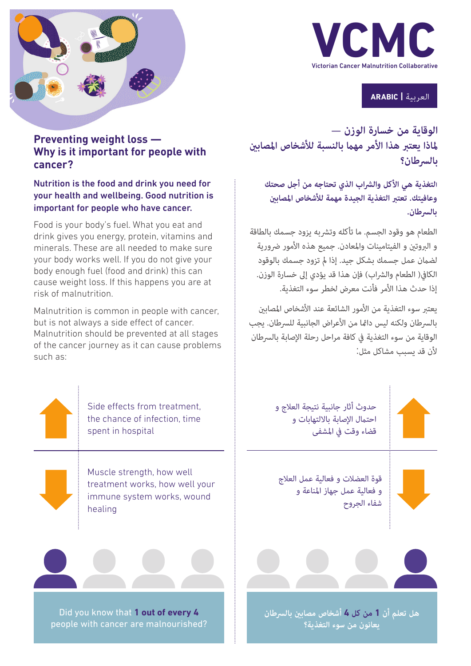

العربية **| ARABIC**

**الوقاية من خسارة الوزن — ملاذا يعترب هذا األمر مهام بالنسبة لألشخاص املصابني بالرسطان؟**

**التغذية هي األكل والرشاب الذي تحتاجه من أجل صحتك وعافيتك. تعترب التغذية الجيدة مهمة لألشخاص املصابني بالرسطان.**

الطعام هو وقود الجسم. ما تأكله وتشربه يزود جسمك بالطاقة و الروتن و الفيتامينات والمعادن. جميع هذه الأمور ضرورية لضامن عمل جسمك بشكل جيد. إذا مل تزود جسمك بالوقود الكافي( الطعام والشراب) فإن هذا قد يؤدي إلى خسارة الوزن. إذا حدث هذا الأمر فأنت معرض لخطر سوء التغذية.

يعتبر سوء التغذية من الأمور الشائعة عند الأشخاص المصابين بالسرطان ولكنه ليس دائما من الأعراض الجانبية للسرطان. يجب الوقاية من سوء التغذية في كافة مراحل رحلة الإصابة بالسرطان لأن قد بسبب مشاكل مثل:



احتمال الإصابة بالالتهابات و قضاء وقت في المشفى

قوة العضالت و فعالية عمل العالج و فعالية عمل جهاز املناعة و



**هل تعلم أن 1 من كل 4 أشخاص مصابني بالرسطان يعانون من سوء التغذية؟**



#### Nutrition is the food and drink you need for your health and wellbeing. Good nutrition is important for people who have cancer.

Food is your body's fuel. What you eat and drink gives you energy, protein, vitamins and minerals. These are all needed to make sure your body works well. If you do not give your body enough fuel (food and drink) this can cause weight loss. If this happens you are at risk of malnutrition.

Malnutrition is common in people with cancer, but is not always a side effect of cancer. Malnutrition should be prevented at all stages of the cancer journey as it can cause problems such as:

> Side effects from treatment, the chance of infection, time spent in hospital

Muscle strength, how well treatment works, how well your immune system works, wound healing



Did you know that **1 out of every 4**  people with cancer are malnourished?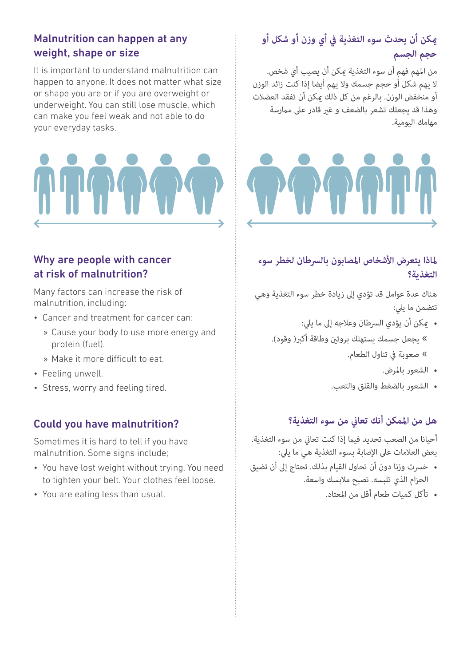#### Malnutrition can happen at any weight, shape or size

It is important to understand malnutrition can happen to anyone. It does not matter what size or shape you are or if you are overweight or underweight. You can still lose muscle, which can make you feel weak and not able to do your everyday tasks.

#### Why are people with cancer at risk of malnutrition?

Many factors can increase the risk of malnutrition, including:

- Cancer and treatment for cancer can:
	- » Cause your body to use more energy and protein (fuel).
	- » Make it more difficult to eat.
- Feeling unwell.
- Stress, worry and feeling tired.

#### Could you have malnutrition?

Sometimes it is hard to tell if you have malnutrition. Some signs include;

- You have lost weight without trying. You need to tighten your belt. Your clothes feel loose.
- You are eating less than usual.

## **ميكن أن يحدث سوء التغذية يف أي وزن أو شكل أو حجم الجسم**

من املهم فهم أن سوء التغذية ميكن أن يصيب أي شخص. ال يهم شكل أو حجم جسمك وال يهم أيضا إذا كنت زائد الوزن أو منخفض الوزن. بالرغم من كل ذلك ميكن أن تفقد العضالت وهذا قد يجعلك تشعر بالضعف و غري قادر عىل مامرسة مهامك اليومية.



#### **ملاذا يتعرض األشخاص املصابون بالرسطان لخطر سوء التغذية؟**

هناك عدة عوامل قد تؤدي إىل زيادة خطر سوء التغذية وهي تتضمن ما يلي:

- يمكن أن يؤدي السرطان وعلاجه إلى ما يلي: » يجعل جسمك يستهلك بروتن وطاقة أكبر( وقود). « صعوبة يف تناول الطعام.
	- الشعور باملرض.
	- الشعور بالضغط والقلق والتعب.

#### **هل من املمكن أنك تعاين من سوء التغذية؟**

أحيانا من الصعب تحديد فيما إذا كنت تعانى من سوء التغذية. بعض العالمات عىل اإلصابة بسوء التغذية هي ما ييل:

- خرست وزنا دون أن تحاول القيام بذلك. تحتاج إىل أن تضيق الحزام الذي تلبسه. تصبح مالبسك واسعة.
	- تأكل كميات طعام أقل من املعتاد.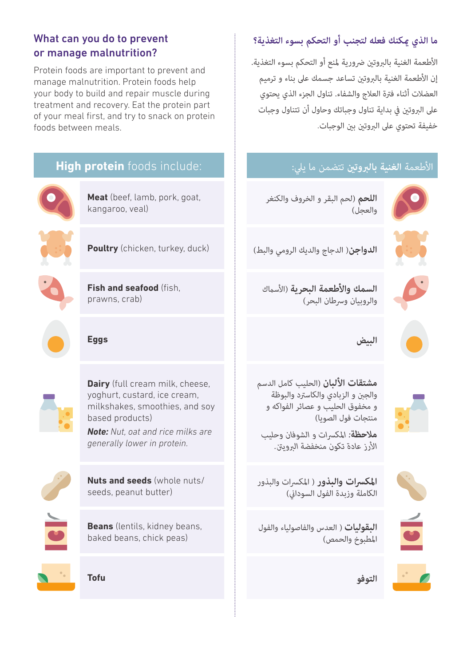#### What can you do to prevent or manage malnutrition?

Protein foods are important to prevent and manage malnutrition. Protein foods help your body to build and repair muscle during treatment and recovery. Eat the protein part of your meal first, and try to snack on protein foods between meals.



## **ما الذي ميكنك فعله لتجنب أو التحكم بسوء التغذية؟**

الأطعمة الغنية بالبروتين ضرورية لمنع أو التحكم بسوء التغذية. إن الأطعمة الغنية بالبروتين تساعد جسمك على بناء و ترميم العضالت أثناء فرتة العالج والشفاء. تناول الجزء الذي يحتوي عىل الربوتني يف بداية تناول وجباتك وحاول أن تتناول وجبات خفيفة تحتوي عىل الربوتني بني الوجبات.

## األطعمة **الغنية بالربوتني** تتضمن ما ييل:



**اللحم** )لحم البقر و الخروف والكنغر والعجل)



**الدواجن**( الدجاج والديك الرومي والبط)

**السمك واألطعمة البحرية** )األسامك والروبيان وسرطان البحر)

**البيض**



**مشتقات األلبان** )الحليب كامل الدسم والجنب و الزبادي والكاسرتد والبوظة و مخفوق الحليب و عصائر الفواكه و منتجات فول الصويا)

*مالحظة: املكرسات و الشوفان وحليب األرز عادة تكون منخفضة الربوينت.*



**املكرسات والبذور** ) املكرسات والبذور الكاملة وزبدة الفول السوداني)

**البقوليات**) العدس والفاصولياء والفول املطبوخ والحمص(

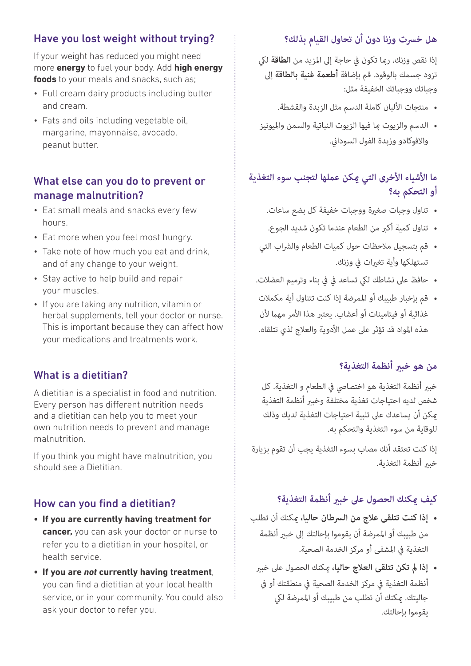#### Have you lost weight without trying?

If your weight has reduced you might need more **energy** to fuel your body. Add **high energy foods** to your meals and snacks, such as;

- Full cream dairy products including butter and cream.
- Fats and oils including vegetable oil, margarine, mayonnaise, avocado, peanut butter.

#### What else can you do to prevent or manage malnutrition?

- Eat small meals and snacks every few hours.
- Eat more when you feel most hungry.
- Take note of how much you eat and drink, and of any change to your weight.
- Stay active to help build and repair your muscles.
- If you are taking any nutrition, vitamin or herbal supplements, tell your doctor or nurse. This is important because they can affect how your medications and treatments work.

## What is a dietitian?

A dietitian is a specialist in food and nutrition. Every person has different nutrition needs and a dietitian can help you to meet your own nutrition needs to prevent and manage malnutrition.

If you think you might have malnutrition, you should see a Dietitian.

#### How can you find a dietitian?

- **• If you are currently having treatment for cancer,** you can ask your doctor or nurse to refer you to a dietitian in your hospital, or health service.
- **• If you are** *not* **currently having treatment**, you can find a dietitian at your local health service, or in your community. You could also ask your doctor to refer you.

# **هل خرست وزنا دون أن تحاول القيام بذلك؟**

إذا نقص وزنك، رمبا تكون يف حاجة إىل املزيد من **الطاقة** ليك تزود جسمك بالوقود. قم بإضافة **أطعمة غنية بالطاقة** إىل وجباتك ووجباتك الخفيفة مثل:

- منتجات األلبان كاملة الدسم مثل الزبدة والقشطة.
- الدسم والزيوت مبا فيها الزيوت النباتية والسمن وامليونيز والافوكادو وزبدة الفول السوداني.

## **ما األشياء األخرى التي ميكن عملها لتجنب سوء التغذية أو التحكم به؟**

- تناول وجبات صغرية ووجبات خفيفة كل بضع ساعات.
- تناول كمية أكرب من الطعام عندما تكون شديد الجوع.
- قم بتسجيل ملاحظات حول كميات الطعام والشراب التي تستهلكها وأبة تغيرات في وزنك.
- حافظ عىل نشاطك ليك تساعد يف يف بناء وترميم العضالت.
- قم بإخبار طبيبك أو املمرضة إذا كنت تتناول أية مكمالت غذائية أو فيتامينات أو أعشاب. يعتبر هذا الأمر مهما لأن هذه المواد قد تؤثر على عمل الأدوية والعلاج لذي تتلقاه.

## **من هو خبري أنظمة التغذية؟**

خبري أنظمة التغذية هو اختصايص يف الطعام و التغذية. كل شخص لديه احتياجات تغذية مختلفة وخبير أنظمة التغذية ميكن أن يساعدك عىل تلبية احتياجات التغذية لديك وذلك للوقاية من سوء التغذية والتحكم به.

إذا كنت تعتقد أنك مصاب بسوء التغذية يجب أن تقوم بزيارة خبر أنظمة التغذية.

## **كيف ميكنك الحصول عىل خبري أنظمة التغذية؟**

- **إذا كنت تتلقى عالج من الرسطان حاليا،** ميكنك أن تطلب من طبيبك أو الممرضة أن يقوموا بإحالتك إلى خبير أنظمة التغذية يف املشفى أو مركز الخدمة الصحية.
	- **إذا مل تكن تتلقى العالج حاليا،** ميكنك الحصول عىل خبري أنظمة التغذية يف مركز الخدمة الصحية يف منطقتك أو يف جاليتك. مكنك أن تطلب من طبيبك أو الممرضة لكي يقوموا بإحالتك.